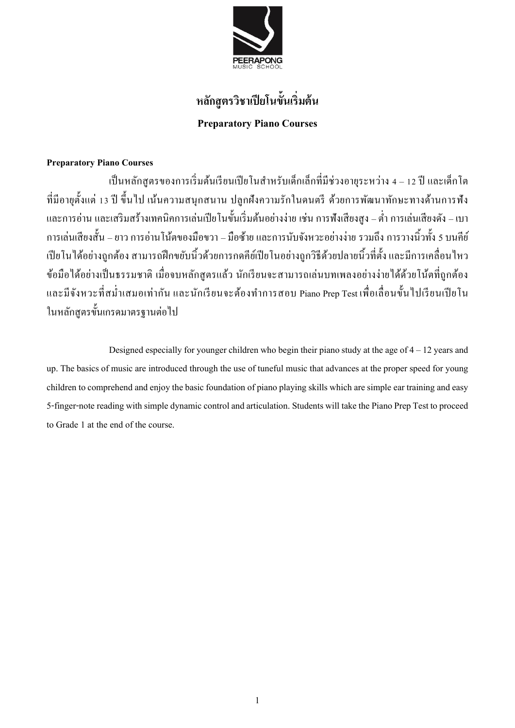

# **หลกัสูตรวิชาเปียโนข้นัเริ่มต้น Preparatory Piano Courses**

## **Preparatory Piano Courses**

เป็นหลักสูตรของการเริ่มต้นเรียนเปียโนสำหรับเด็กเล็กที่มีช่วงอายุระหว่าง 4 – 12 ปี และเด็กโต ที่มีอายุต้งัแต่13 ปีข้ึนไป เน้นความสนุกสนาน ปลูกฝังความรักในดนตรีด้วยการพัฒนาทักษะทางด้านการฟัง และการอ่าน และเสริมสร้างเทคนิคการเล่นเปียโนขั้นเริ่มต้นอย่างง่าย เช่น การฟังเสียงสูง – ต่ำ การเล่นเสียงดัง – เบา การเล่นเสียงส้ัน –ยาวการอ่านโนต้ของมือขวา – มือซา้ยและการนบัจงัหวะอยา่ งง่าย รวมถึงการวางนิ้วท้งั 5 บนคีย์ เปียโนได้อย่างถูกต้อง สามารถฝึกขยับนิ้วด้วยการกดคีย์เปียโนอย่างถูกวิธีด้วยปลายนิ้วที่ตั้ง และมีการเคลื่อนไหว ข้อมือได้อย่างเป็ นธรรมชาติ เมื่อจบหลักสูตรแล้ว นักเรียนจะสามารถเล่นบทเพลงอย่างง่ายได้ด้วยโน้ตที่ถูกต้อง และมีจังหวะที่สม่ำเสมอเท่ากัน และนักเรียนจะต้องทำการสอบ Piano Prep Test เพื่อเลื่อนขั้นไปเรียนเปียโน ในหลักสูตรขั้นเกรดมาตรฐานต่อไป

Designed especially for younger children who begin their piano study at the age of  $4 - 12$  years and up. The basics of music are introduced through the use of tuneful music that advances at the proper speed for young children to comprehend and enjoy the basic foundation of piano playing skills which are simple ear training and easy 5-finger-note reading with simple dynamic control and articulation. Students will take the Piano Prep Test to proceed to Grade 1 at the end of the course.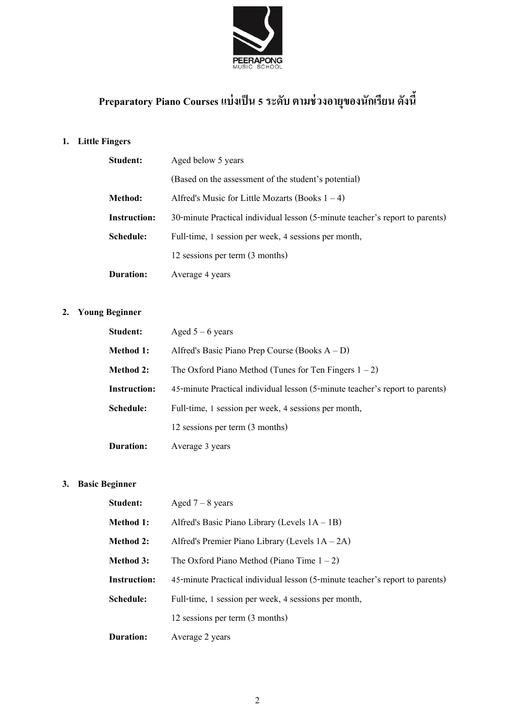

# **Preparatory Piano Coursesแบ่งเป็ น 5 ระดับ ตามช่วงอายุของนักเรียน ดังนี้**

# **1. Little Fingers**

| Student:            | Aged below 5 years                                                           |  |
|---------------------|------------------------------------------------------------------------------|--|
|                     | (Based on the assessment of the student's potential)                         |  |
| <b>Method:</b>      | Alfred's Music for Little Mozarts (Books $1 - 4$ )                           |  |
| <b>Instruction:</b> | 30-minute Practical individual lesson (5-minute teacher's report to parents) |  |
| Schedule:           | Full-time, 1 session per week, 4 sessions per month,                         |  |
|                     | 12 sessions per term (3 months)                                              |  |
| Duration:           | Average 4 years                                                              |  |

# **2. Young Beginner**

| Student:            | Aged $5 - 6$ years                                                           |
|---------------------|------------------------------------------------------------------------------|
| <b>Method 1:</b>    | Alfred's Basic Piano Prep Course (Books $A - D$ )                            |
| <b>Method 2:</b>    | The Oxford Piano Method (Tunes for Ten Fingers $1 - 2$ )                     |
| <b>Instruction:</b> | 45-minute Practical individual lesson (5-minute teacher's report to parents) |
| Schedule:           | Full-time, 1 session per week, 4 sessions per month,                         |
|                     | 12 sessions per term (3 months)                                              |
| <b>Duration:</b>    | Average 3 years                                                              |

## **3. Basic Beginner**

| Student:            | Aged $7 - 8$ years                                                           |
|---------------------|------------------------------------------------------------------------------|
| <b>Method 1:</b>    | Alfred's Basic Piano Library (Levels $1A - 1B$ )                             |
| <b>Method 2:</b>    | Alfred's Premier Piano Library (Levels $1A - 2A$ )                           |
| <b>Method 3:</b>    | The Oxford Piano Method (Piano Time $1 - 2$ )                                |
| <b>Instruction:</b> | 45-minute Practical individual lesson (5-minute teacher's report to parents) |
| Schedule:           | Full-time, 1 session per week, 4 sessions per month,                         |
|                     | 12 sessions per term (3 months)                                              |
| Duration:           | Average 2 years                                                              |